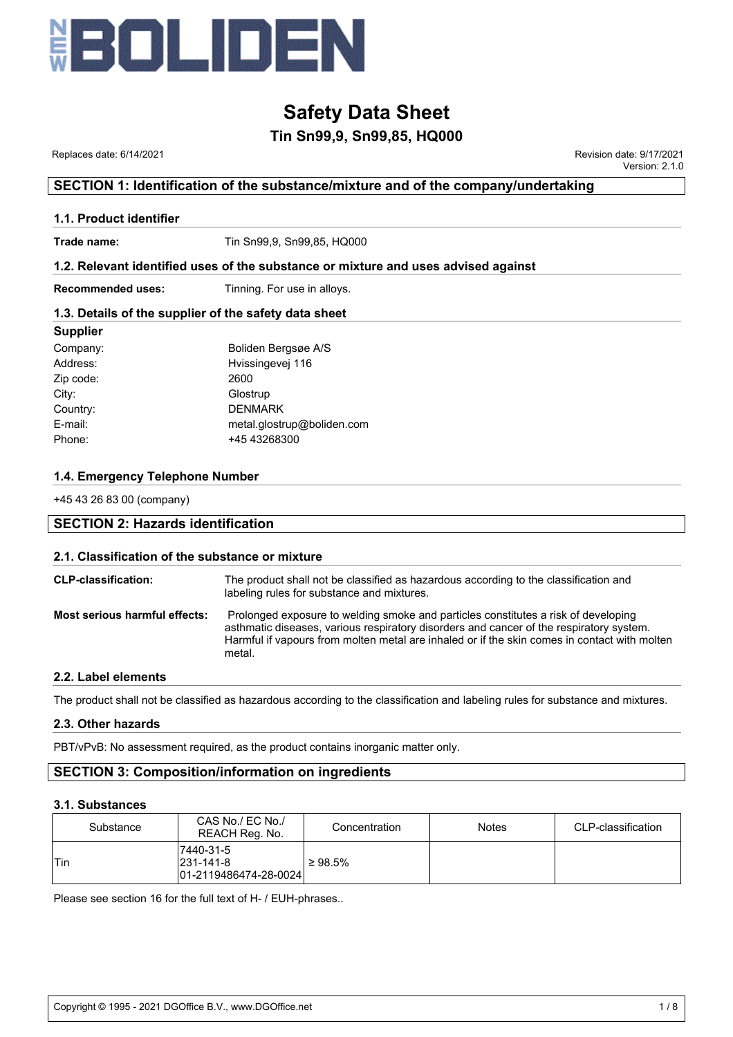

### **Tin Sn99,9, Sn99,85, HQ000**

 Replaces date: 6/14/2021 Revision date: 9/17/2021 Version: 2.1.0

#### **SECTION 1: Identification of the substance/mixture and of the company/undertaking**

#### **1.1. Product identifier**

**Trade name:** Tin Sn99,9, Sn99,85, HQ000

#### **1.2. Relevant identified uses of the substance or mixture and uses advised against**

**Recommended uses:** Tinning. For use in alloys.

#### **1.3. Details of the supplier of the safety data sheet**

| <b>Supplier</b> |                            |
|-----------------|----------------------------|
| Company:        | Boliden Bergsøe A/S        |
| Address:        | Hvissingevej 116           |
| Zip code:       | 2600                       |
| City:           | Glostrup                   |
| Country:        | <b>DENMARK</b>             |
| E-mail:         | metal.glostrup@boliden.com |
| Phone:          | +45 43268300               |
|                 |                            |

#### **1.4. Emergency Telephone Number**

+45 43 26 83 00 (company)

### **SECTION 2: Hazards identification**

#### **2.1. Classification of the substance or mixture**

| <b>CLP-classification:</b>    | The product shall not be classified as hazardous according to the classification and<br>labeling rules for substance and mixtures.                                                                                                                                                      |
|-------------------------------|-----------------------------------------------------------------------------------------------------------------------------------------------------------------------------------------------------------------------------------------------------------------------------------------|
| Most serious harmful effects: | Prolonged exposure to welding smoke and particles constitutes a risk of developing<br>asthmatic diseases, various respiratory disorders and cancer of the respiratory system.<br>Harmful if vapours from molten metal are inhaled or if the skin comes in contact with molten<br>metal. |

#### **2.2. Label elements**

The product shall not be classified as hazardous according to the classification and labeling rules for substance and mixtures.

#### **2.3. Other hazards**

PBT/vPvB: No assessment required, as the product contains inorganic matter only.

#### **SECTION 3: Composition/information on ingredients**

#### **3.1. Substances**

| Substance | CAS No./ EC No./<br>REACH Reg. No.                      |               | <b>Notes</b> | CLP-classification |
|-----------|---------------------------------------------------------|---------------|--------------|--------------------|
| 'Tin      | 7440-31-5<br>$ 231 - 141 - 8 $<br>01-2119486474-28-0024 | $\geq 98.5\%$ |              |                    |

Please see section 16 for the full text of H- / EUH-phrases..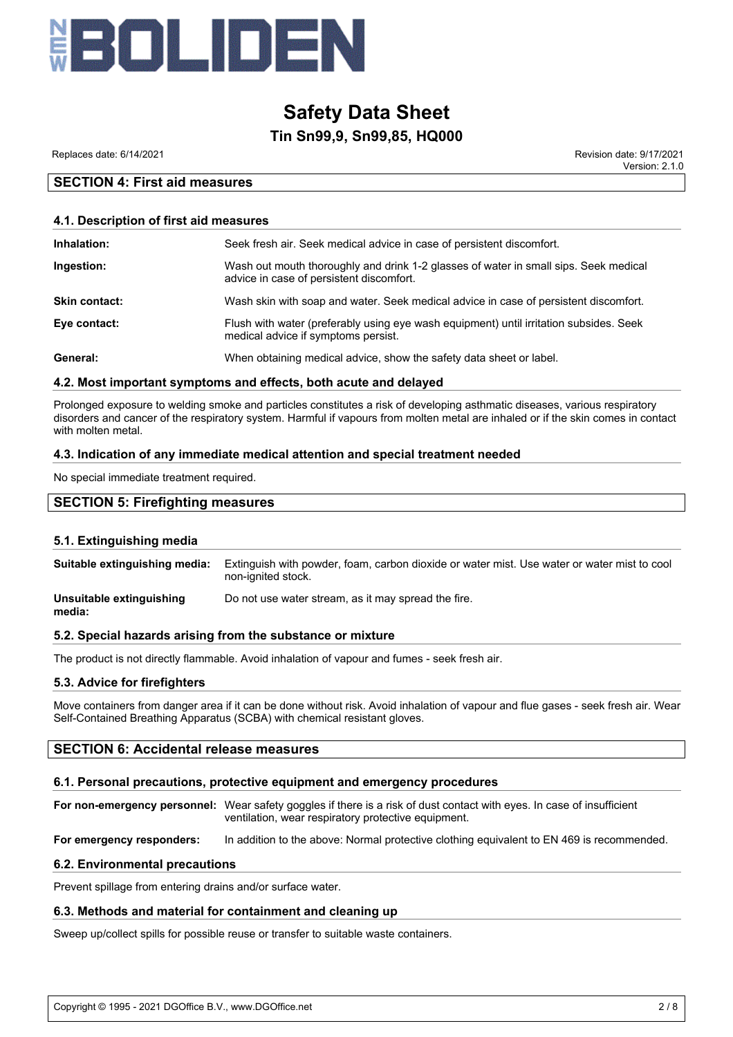

#### **Tin Sn99,9, Sn99,85, HQ000**

Replaces date: 6/14/2021 Revision date: 9/17/2021

Version: 2.1.0

#### **SECTION 4: First aid measures**

#### **4.1. Description of first aid measures**

| Inhalation:          | Seek fresh air. Seek medical advice in case of persistent discomfort.                                                            |
|----------------------|----------------------------------------------------------------------------------------------------------------------------------|
| Ingestion:           | Wash out mouth thoroughly and drink 1-2 glasses of water in small sips. Seek medical<br>advice in case of persistent discomfort. |
| <b>Skin contact:</b> | Wash skin with soap and water. Seek medical advice in case of persistent discomfort.                                             |
| Eye contact:         | Flush with water (preferably using eye wash equipment) until irritation subsides. Seek<br>medical advice if symptoms persist.    |
| General:             | When obtaining medical advice, show the safety data sheet or label.                                                              |

#### **4.2. Most important symptoms and effects, both acute and delayed**

Prolonged exposure to welding smoke and particles constitutes a risk of developing asthmatic diseases, various respiratory disorders and cancer of the respiratory system. Harmful if vapours from molten metal are inhaled or if the skin comes in contact with molten metal.

#### **4.3. Indication of any immediate medical attention and special treatment needed**

No special immediate treatment required.

#### **SECTION 5: Firefighting measures**

#### **5.1. Extinguishing media**

| Suitable extinguishing media:      | Extinguish with powder, foam, carbon dioxide or water mist. Use water or water mist to cool<br>non-ignited stock. |
|------------------------------------|-------------------------------------------------------------------------------------------------------------------|
| Unsuitable extinguishing<br>media: | Do not use water stream, as it may spread the fire.                                                               |

#### **5.2. Special hazards arising from the substance or mixture**

The product is not directly flammable. Avoid inhalation of vapour and fumes - seek fresh air.

#### **5.3. Advice for firefighters**

Move containers from danger area if it can be done without risk. Avoid inhalation of vapour and flue gases - seek fresh air. Wear Self-Contained Breathing Apparatus (SCBA) with chemical resistant gloves.

#### **SECTION 6: Accidental release measures**

#### **6.1. Personal precautions, protective equipment and emergency procedures**

**For non-emergency personnel:** Wear safety goggles if there is a risk of dust contact with eyes. In case of insufficient ventilation, wear respiratory protective equipment.

**For emergency responders:** In addition to the above: Normal protective clothing equivalent to EN 469 is recommended.

#### **6.2. Environmental precautions**

Prevent spillage from entering drains and/or surface water.

#### **6.3. Methods and material for containment and cleaning up**

Sweep up/collect spills for possible reuse or transfer to suitable waste containers.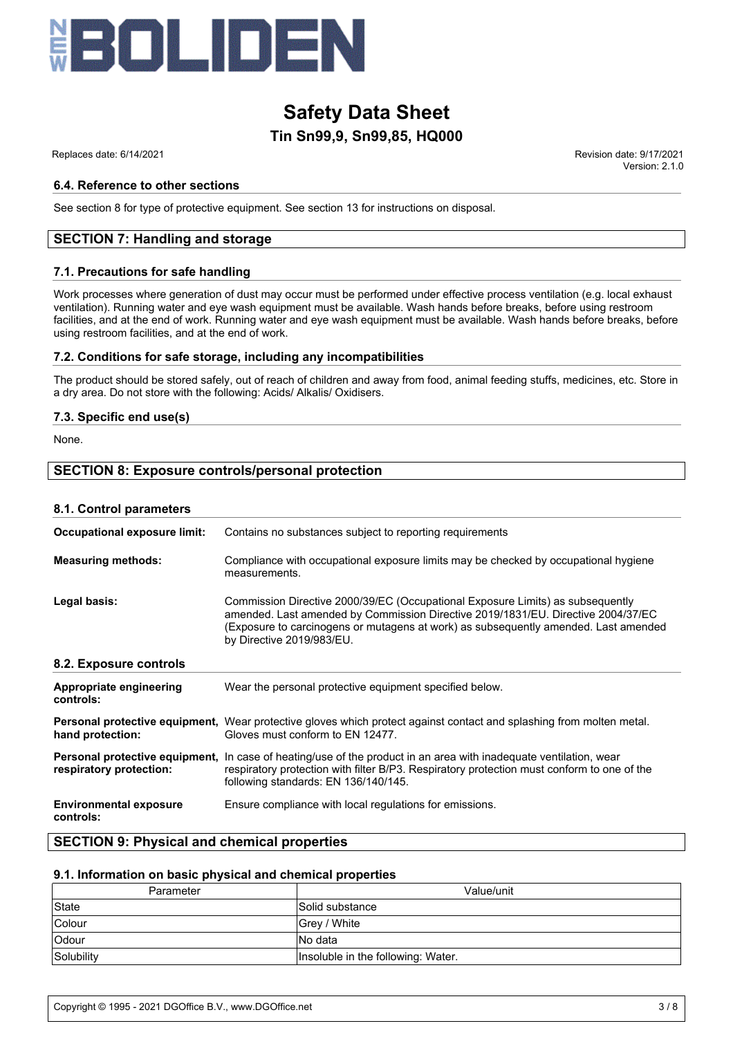

### **Tin Sn99,9, Sn99,85, HQ000 Safety Data Sheet**

#### **6.4. Reference to other sections**

See section 8 for type of protective equipment. See section 13 for instructions on disposal.

#### **SECTION 7: Handling and storage**

#### **7.1. Precautions for safe handling**

Work processes where generation of dust may occur must be performed under effective process ventilation (e.g. local exhaust ventilation). Running water and eye wash equipment must be available. Wash hands before breaks, before using restroom facilities, and at the end of work. Running water and eye wash equipment must be available. Wash hands before breaks, before using restroom facilities, and at the end of work.

#### **7.2. Conditions for safe storage, including any incompatibilities**

The product should be stored safely, out of reach of children and away from food, animal feeding stuffs, medicines, etc. Store in a dry area. Do not store with the following: Acids/ Alkalis/ Oxidisers.

#### **7.3. Specific end use(s)**

None.

#### **SECTION 8: Exposure controls/personal protection**

#### **8.1. Control parameters**

| Occupational exposure limit:               | Contains no substances subject to reporting requirements                                                                                                                                                                                                                               |
|--------------------------------------------|----------------------------------------------------------------------------------------------------------------------------------------------------------------------------------------------------------------------------------------------------------------------------------------|
| <b>Measuring methods:</b>                  | Compliance with occupational exposure limits may be checked by occupational hygiene<br>measurements.                                                                                                                                                                                   |
| Legal basis:                               | Commission Directive 2000/39/EC (Occupational Exposure Limits) as subsequently<br>amended. Last amended by Commission Directive 2019/1831/EU. Directive 2004/37/EC<br>(Exposure to carcinogens or mutagens at work) as subsequently amended. Last amended<br>by Directive 2019/983/EU. |
| 8.2. Exposure controls                     |                                                                                                                                                                                                                                                                                        |
| Appropriate engineering<br>controls:       | Wear the personal protective equipment specified below.                                                                                                                                                                                                                                |
| hand protection:                           | Personal protective equipment, Wear protective gloves which protect against contact and splashing from molten metal.<br>Gloves must conform to EN 12477.                                                                                                                               |
| respiratory protection:                    | Personal protective equipment, In case of heating/use of the product in an area with inadequate ventilation, wear<br>respiratory protection with filter B/P3. Respiratory protection must conform to one of the<br>following standards: EN 136/140/145.                                |
| <b>Environmental exposure</b><br>controls: | Ensure compliance with local regulations for emissions.                                                                                                                                                                                                                                |

#### **SECTION 9: Physical and chemical properties**

#### **9.1. Information on basic physical and chemical properties**

| Parameter    | Value/unit                         |
|--------------|------------------------------------|
| State        | Solid substance                    |
| Colour       | Grey / White                       |
| <b>Odour</b> | No data                            |
| Solubility   | Insoluble in the following: Water. |

 Replaces date: 6/14/2021 Revision date: 9/17/2021 Version: 2.1.0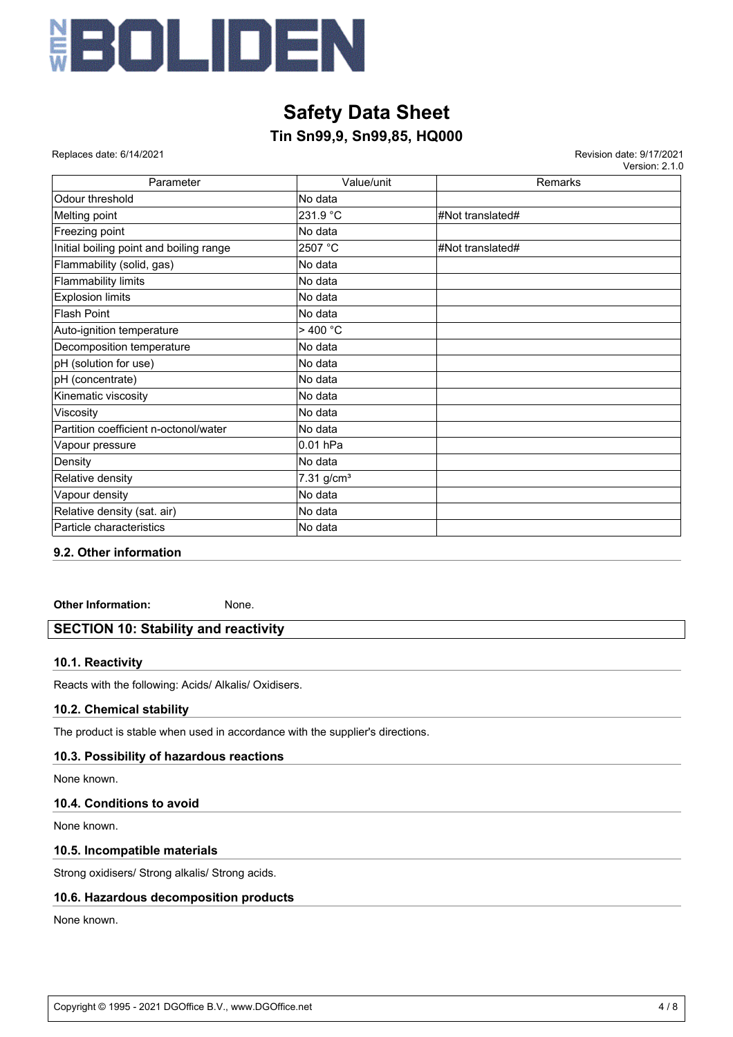

### **Tin Sn99,9, Sn99,85, HQ000**

 Replaces date: 6/14/2021 Revision date: 9/17/2021 Version: 2.1.0

| Parameter                               | Value/unit               | Remarks          |
|-----------------------------------------|--------------------------|------------------|
| Odour threshold                         | No data                  |                  |
| Melting point                           | 231.9 °C                 | #Not translated# |
| Freezing point                          | No data                  |                  |
| Initial boiling point and boiling range | 2507 °C                  | #Not translated# |
| Flammability (solid, gas)               | No data                  |                  |
| Flammability limits                     | No data                  |                  |
| <b>Explosion limits</b>                 | No data                  |                  |
| Flash Point                             | No data                  |                  |
| Auto-ignition temperature               | >400 °C                  |                  |
| Decomposition temperature               | No data                  |                  |
| pH (solution for use)                   | No data                  |                  |
| pH (concentrate)                        | No data                  |                  |
| Kinematic viscosity                     | No data                  |                  |
| Viscosity                               | No data                  |                  |
| Partition coefficient n-octonol/water   | No data                  |                  |
| Vapour pressure                         | 0.01 hPa                 |                  |
| Density                                 | No data                  |                  |
| Relative density                        | $7.31$ g/cm <sup>3</sup> |                  |
| Vapour density                          | No data                  |                  |
| Relative density (sat. air)             | No data                  |                  |
| Particle characteristics                | No data                  |                  |

#### **9.2. Other information**

**Other Information:** None.

#### **SECTION 10: Stability and reactivity**

#### **10.1. Reactivity**

Reacts with the following: Acids/ Alkalis/ Oxidisers.

#### **10.2. Chemical stability**

The product is stable when used in accordance with the supplier's directions.

#### **10.3. Possibility of hazardous reactions**

None known.

#### **10.4. Conditions to avoid**

None known.

#### **10.5. Incompatible materials**

Strong oxidisers/ Strong alkalis/ Strong acids.

#### **10.6. Hazardous decomposition products**

None known.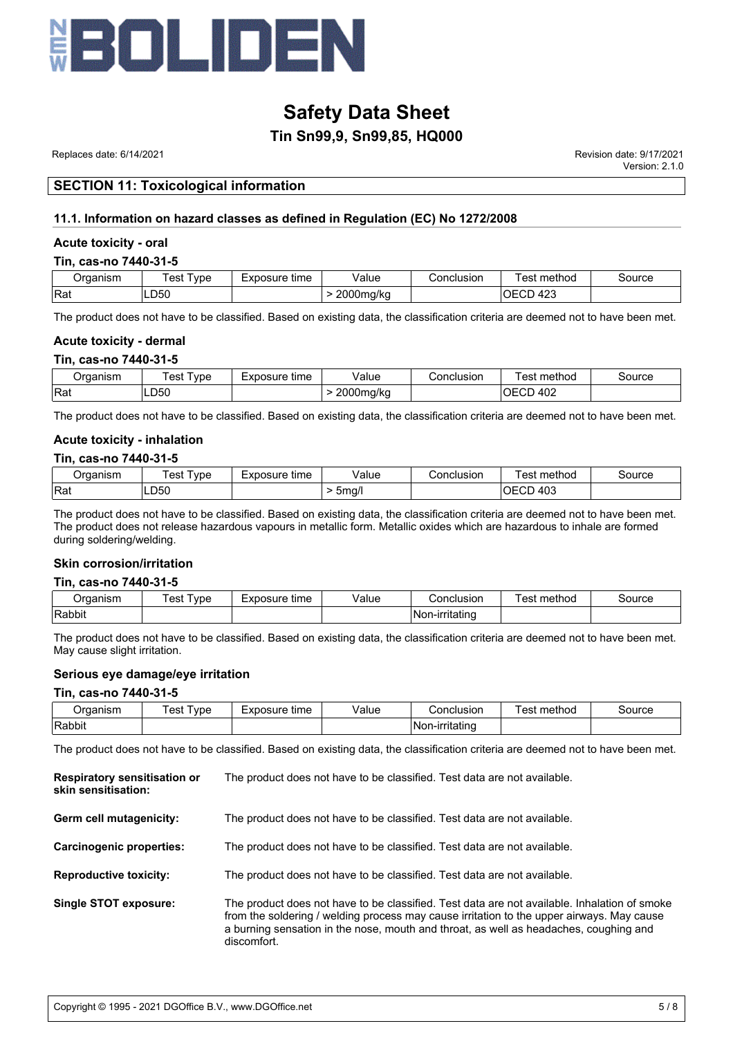

#### **Tin Sn99,9, Sn99,85, HQ000**

 Replaces date: 6/14/2021 Revision date: 9/17/2021 Version: 2.1.0

#### **SECTION 11: Toxicological information**

#### **11.1. Information on hazard classes as defined in Regulation (EC) No 1272/2008**

#### **Acute toxicity - oral**

#### **Tin, cas-no 7440-31-5**

| Jraanism   | vpe<br>est | Exposure <sup>-</sup><br>time | √alue             | Conclusion | method<br>est             | source |
|------------|------------|-------------------------------|-------------------|------------|---------------------------|--------|
| <b>Rat</b> | ∟D50       |                               | nnnn<br>2000ma/ka |            | $\sqrt{2}$<br>OECD<br>423 |        |

The product does not have to be classified. Based on existing data, the classification criteria are deemed not to have been met.

#### **Acute toxicity - dermal**

#### **Tin, cas-no 7440-31-5**

| Jraanism | vpe<br>est | Exposure<br>time<br><b>AD </b> | Value                            | Conclusion | . .<br>method<br>⊺est | source |
|----------|------------|--------------------------------|----------------------------------|------------|-----------------------|--------|
| Rat      | LD50       |                                | $2000$ ma<br>ng/kc<br>. .<br>. . |            | 402<br>UΕ.<br>◡∟      |        |

The product does not have to be classified. Based on existing data, the classification criteria are deemed not to have been met.

#### **Acute toxicity - inhalation**

#### **Tin, cas-no 7440-31-5**

| Jraanism | vpe<br>'est | Exposure<br>tıme<br>–∧µ… | √alue<br>. | こonclusion | .<br>method<br>est          | Source |
|----------|-------------|--------------------------|------------|------------|-----------------------------|--------|
| Rat      | LD50        |                          | 5ma/l      |            | $\sqrt{2}$<br>OECD<br>` 40J |        |

The product does not have to be classified. Based on existing data, the classification criteria are deemed not to have been met. The product does not release hazardous vapours in metallic form. Metallic oxides which are hazardous to inhale are formed during soldering/welding.

#### **Skin corrosion/irritation**

#### **Tin, cas-no 7440-31-5**

| .<br>riisn | vne<br>es | posure<br>time | √alue<br>. | Conclusion                    | . .<br>method<br>es | 'ource |
|------------|-----------|----------------|------------|-------------------------------|---------------------|--------|
| Rabbit     |           |                |            | . .<br><b>INon-irritating</b> |                     |        |

The product does not have to be classified. Based on existing data, the classification criteria are deemed not to have been met. May cause slight irritation.

#### **Serious eye damage/eye irritation**

#### **Tin, cas-no 7440-31-5**

| ⊃rganism | 'est<br>vpe | Exposure<br>time | Value | Conclusion             | method<br>est | source |
|----------|-------------|------------------|-------|------------------------|---------------|--------|
| Rabbit   |             |                  |       | . .<br> Non-irritating |               |        |

The product does not have to be classified. Based on existing data, the classification criteria are deemed not to have been met.

| <b>Respiratory sensitisation or</b><br>skin sensitisation: | The product does not have to be classified. Test data are not available.                                                                                                                                                                                                                          |
|------------------------------------------------------------|---------------------------------------------------------------------------------------------------------------------------------------------------------------------------------------------------------------------------------------------------------------------------------------------------|
| Germ cell mutagenicity:                                    | The product does not have to be classified. Test data are not available.                                                                                                                                                                                                                          |
| Carcinogenic properties:                                   | The product does not have to be classified. Test data are not available.                                                                                                                                                                                                                          |
| <b>Reproductive toxicity:</b>                              | The product does not have to be classified. Test data are not available.                                                                                                                                                                                                                          |
| Single STOT exposure:                                      | The product does not have to be classified. Test data are not available. Inhalation of smoke<br>from the soldering / welding process may cause irritation to the upper airways. May cause<br>a burning sensation in the nose, mouth and throat, as well as headaches, coughing and<br>discomfort. |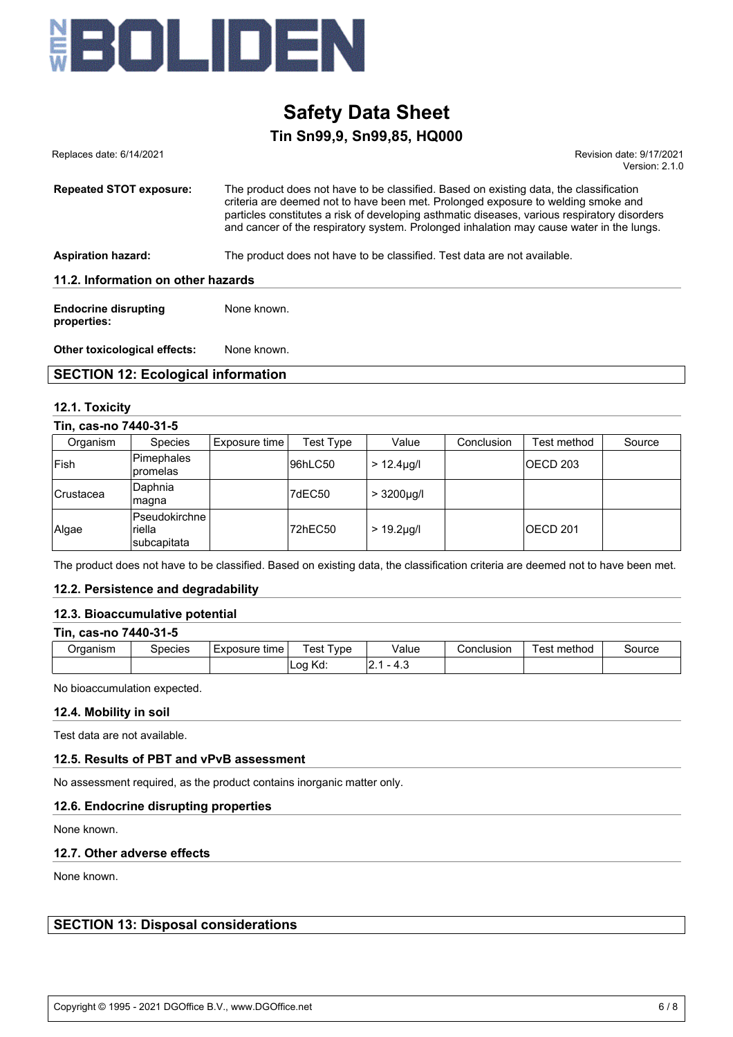

### **Tin Sn99,9, Sn99,85, HQ000 Safety Data Sheet**

| Replaces date: 6/14/2021                   | Revision date: 9/17/2021<br>Version: $2.1.0$                                                                                                                                                                                                                                                                                                                            |
|--------------------------------------------|-------------------------------------------------------------------------------------------------------------------------------------------------------------------------------------------------------------------------------------------------------------------------------------------------------------------------------------------------------------------------|
| <b>Repeated STOT exposure:</b>             | The product does not have to be classified. Based on existing data, the classification<br>criteria are deemed not to have been met. Prolonged exposure to welding smoke and<br>particles constitutes a risk of developing asthmatic diseases, various respiratory disorders<br>and cancer of the respiratory system. Prolonged inhalation may cause water in the lungs. |
| <b>Aspiration hazard:</b>                  | The product does not have to be classified. Test data are not available.                                                                                                                                                                                                                                                                                                |
| 11.2. Information on other hazards         |                                                                                                                                                                                                                                                                                                                                                                         |
| <b>Endocrine disrupting</b><br>properties: | None known.                                                                                                                                                                                                                                                                                                                                                             |

**Other toxicological effects:** None known.

#### **SECTION 12: Ecological information**

#### **12.1. Toxicity**

#### **Tin, cas-no 7440-31-5**

| Organism   | <b>Species</b>                          | Exposure time | Test Type | Value            | Conclusion | Test method     | Source |
|------------|-----------------------------------------|---------------|-----------|------------------|------------|-----------------|--------|
| Fish       | Pimephales<br>promelas                  |               | 96hLC50   | $> 12.4 \mu$ g/l |            | <b>OECD 203</b> |        |
| lCrustacea | Daphnia<br> magna                       |               | 7dEC50    | $> 3200 \mu g/l$ |            |                 |        |
| Algae      | Pseudokirchne<br>riella<br>Isubcapitata |               | 72hEC50   | $> 19.2 \mu g/l$ |            | <b>OECD 201</b> |        |

The product does not have to be classified. Based on existing data, the classification criteria are deemed not to have been met.

#### **12.2. Persistence and degradability**

#### **12.3. Bioaccumulative potential**

| Tin, cas-no 7440-31-5 |         |               |           |       |            |             |        |
|-----------------------|---------|---------------|-----------|-------|------------|-------------|--------|
| Organism              | Species | Exposure time | Test Tvpe | Value | Conclusion | Test method | Source |
|                       |         |               | Log Kd:   | - 4.3 |            |             |        |

#### No bioaccumulation expected.

#### **12.4. Mobility in soil**

Test data are not available.

#### **12.5. Results of PBT and vPvB assessment**

No assessment required, as the product contains inorganic matter only.

#### **12.6. Endocrine disrupting properties**

None known.

#### **12.7. Other adverse effects**

None known.

**SECTION 13: Disposal considerations**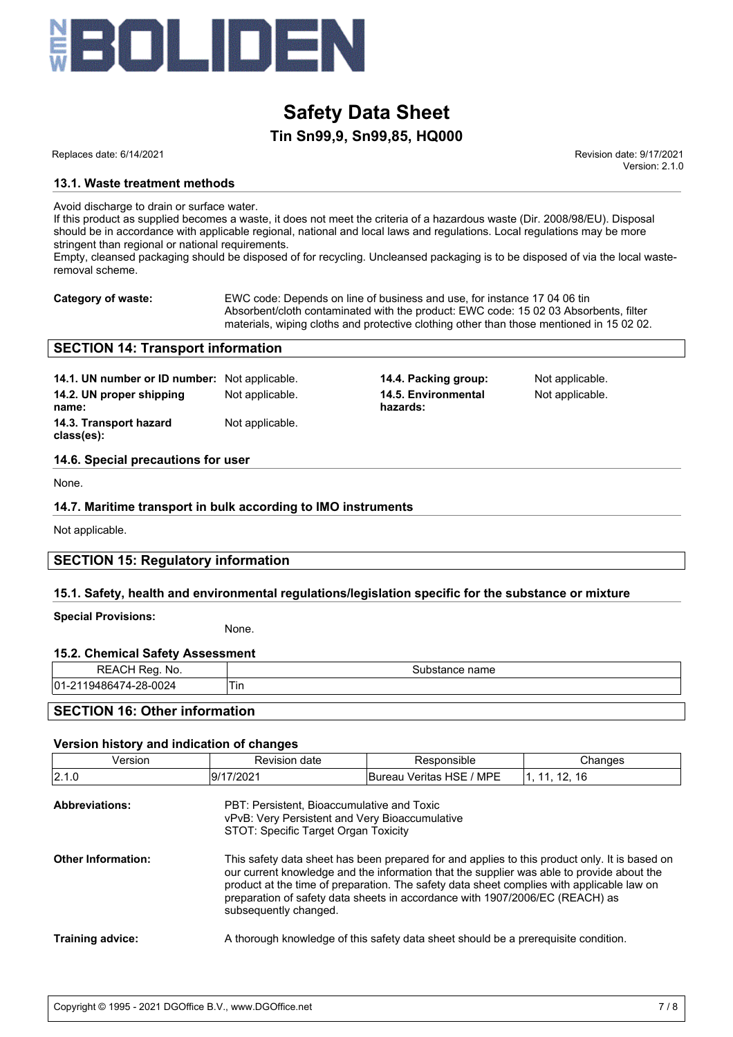

### **Tin Sn99,9, Sn99,85, HQ000**

 Replaces date: 6/14/2021 Revision date: 9/17/2021 Version: 2.1.0

#### **13.1. Waste treatment methods**

Avoid discharge to drain or surface water.

If this product as supplied becomes a waste, it does not meet the criteria of a hazardous waste (Dir. 2008/98/EU). Disposal should be in accordance with applicable regional, national and local laws and regulations. Local regulations may be more stringent than regional or national requirements.

Empty, cleansed packaging should be disposed of for recycling. Uncleansed packaging is to be disposed of via the local wasteremoval scheme.

**Category of waste:** EWC code: Depends on line of business and use, for instance 17 04 06 tin Absorbent/cloth contaminated with the product: EWC code: 15 02 03 Absorbents, filter materials, wiping cloths and protective clothing other than those mentioned in 15 02 02.

#### **SECTION 14: Transport information**

**14.1. UN number or ID number:** Not applicable. **14.4. Packing group:** Not applicable. **14.2. UN proper shipping name: 14.3. Transport hazard class(es):** Not applicable.

Not applicable. **14.5. Environmental hazards:**

Not applicable.

#### **14.6. Special precautions for user**

None.

#### **14.7. Maritime transport in bulk according to IMO instruments**

Not applicable.

#### **SECTION 15: Regulatory information**

#### **15.1. Safety, health and environmental regulations/legislation specific for the substance or mixture**

**Special Provisions:**

None.

#### **15.2. Chemical Safety Assessment**

| REACH Reg. No.                       | Substance name |  |  |  |  |  |
|--------------------------------------|----------------|--|--|--|--|--|
| 01-2119486474-28-0024                | 1 in           |  |  |  |  |  |
| <b>SECTION 16: Other information</b> |                |  |  |  |  |  |

#### **Version history and indication of changes**

| Version                   | <b>Revision date</b>                                                                                                                 | Responsible                                                                                                                                                                                                                                                                                                                                                             | Changes       |  |  |  |
|---------------------------|--------------------------------------------------------------------------------------------------------------------------------------|-------------------------------------------------------------------------------------------------------------------------------------------------------------------------------------------------------------------------------------------------------------------------------------------------------------------------------------------------------------------------|---------------|--|--|--|
| 2.1.0                     | 9/17/2021                                                                                                                            | Bureau Veritas HSE / MPE                                                                                                                                                                                                                                                                                                                                                | 1, 11, 12, 16 |  |  |  |
| <b>Abbreviations:</b>     | PBT: Persistent, Bioaccumulative and Toxic<br>vPvB: Very Persistent and Very Bioaccumulative<br>STOT: Specific Target Organ Toxicity |                                                                                                                                                                                                                                                                                                                                                                         |               |  |  |  |
| <b>Other Information:</b> | subsequently changed.                                                                                                                | This safety data sheet has been prepared for and applies to this product only. It is based on<br>our current knowledge and the information that the supplier was able to provide about the<br>product at the time of preparation. The safety data sheet complies with applicable law on<br>preparation of safety data sheets in accordance with 1907/2006/EC (REACH) as |               |  |  |  |
| <b>Training advice:</b>   |                                                                                                                                      | A thorough knowledge of this safety data sheet should be a prerequisite condition.                                                                                                                                                                                                                                                                                      |               |  |  |  |